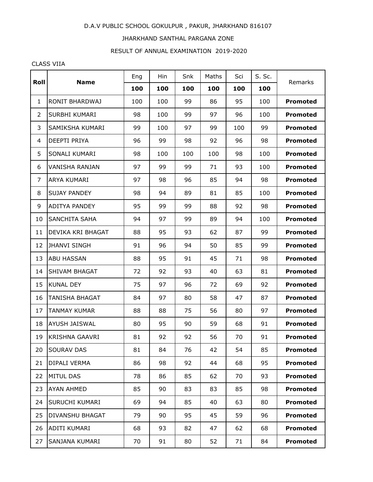## D.A.V PUBLIC SCHOOL GOKULPUR , PAKUR, JHARKHAND 816107

## JHARKHAND SANTHAL PARGANA ZONE

## RESULT OF ANNUAL EXAMINATION 2019-2020

## CLASS VIIA

| Roll         | <b>Name</b>           | Eng | Hin | Snk | Maths | Sci | S. Sc. | Remarks         |
|--------------|-----------------------|-----|-----|-----|-------|-----|--------|-----------------|
|              |                       | 100 | 100 | 100 | 100   | 100 | 100    |                 |
| $\mathbf{1}$ | RONIT BHARDWAJ        | 100 | 100 | 99  | 86    | 95  | 100    | <b>Promoted</b> |
| 2            | SURBHI KUMARI         | 98  | 100 | 99  | 97    | 96  | 100    | <b>Promoted</b> |
| 3            | SAMIKSHA KUMARI       | 99  | 100 | 97  | 99    | 100 | 99     | <b>Promoted</b> |
| 4            | DEEPTI PRIYA          | 96  | 99  | 98  | 92    | 96  | 98     | <b>Promoted</b> |
| 5            | SONALI KUMARI         | 98  | 100 | 100 | 100   | 98  | 100    | <b>Promoted</b> |
| 6            | VANISHA RANJAN        | 97  | 99  | 99  | 71    | 93  | 100    | <b>Promoted</b> |
| 7            | ARYA KUMARI           | 97  | 98  | 96  | 85    | 94  | 98     | <b>Promoted</b> |
| 8            | SUJAY PANDEY          | 98  | 94  | 89  | 81    | 85  | 100    | <b>Promoted</b> |
| 9            | ADITYA PANDEY         | 95  | 99  | 99  | 88    | 92  | 98     | <b>Promoted</b> |
| 10           | SANCHITA SAHA         | 94  | 97  | 99  | 89    | 94  | 100    | <b>Promoted</b> |
| 11           | DEVIKA KRI BHAGAT     | 88  | 95  | 93  | 62    | 87  | 99     | <b>Promoted</b> |
| 12           | <b>JHANVI SINGH</b>   | 91  | 96  | 94  | 50    | 85  | 99     | <b>Promoted</b> |
| 13           | <b>ABU HASSAN</b>     | 88  | 95  | 91  | 45    | 71  | 98     | <b>Promoted</b> |
| 14           | SHIVAM BHAGAT         | 72  | 92  | 93  | 40    | 63  | 81     | <b>Promoted</b> |
| 15           | KUNAL DEY             | 75  | 97  | 96  | 72    | 69  | 92     | <b>Promoted</b> |
| 16           | TANISHA BHAGAT        | 84  | 97  | 80  | 58    | 47  | 87     | <b>Promoted</b> |
| 17           | TANMAY KUMAR          | 88  | 88  | 75  | 56    | 80  | 97     | <b>Promoted</b> |
| 18           | AYUSH JAISWAL         | 80  | 95  | 90  | 59    | 68  | 91     | <b>Promoted</b> |
| 19           | <b>KRISHNA GAAVRI</b> | 81  | 92  | 92  | 56    | 70  | 91     | <b>Promoted</b> |
| 20           | SOURAV DAS            | 81  | 84  | 76  | 42    | 54  | 85     | <b>Promoted</b> |
| 21           | DIPALI VERMA          | 86  | 98  | 92  | 44    | 68  | 95     | <b>Promoted</b> |
| 22           | MITUL DAS             | 78  | 86  | 85  | 62    | 70  | 93     | <b>Promoted</b> |
| 23           | AYAN AHMED            | 85  | 90  | 83  | 83    | 85  | 98     | <b>Promoted</b> |
| 24           | SURUCHI KUMARI        | 69  | 94  | 85  | 40    | 63  | 80     | <b>Promoted</b> |
| 25           | DIVANSHU BHAGAT       | 79  | 90  | 95  | 45    | 59  | 96     | <b>Promoted</b> |
| 26           | ADITI KUMARI          | 68  | 93  | 82  | 47    | 62  | 68     | <b>Promoted</b> |
| 27           | SANJANA KUMARI        | 70  | 91  | 80  | 52    | 71  | 84     | <b>Promoted</b> |